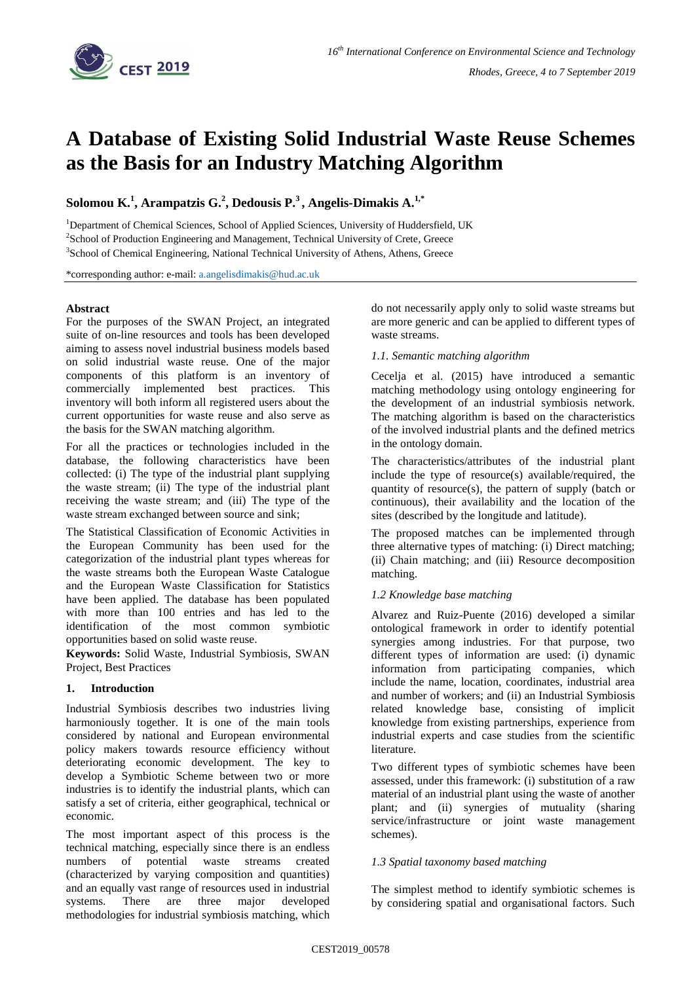

# **A Database of Existing Solid Industrial Waste Reuse Schemes as the Basis for an Industry Matching Algorithm**

**Solomou K.<sup>1</sup> , Arampatzis G. 2 , Dedousis P. 3 , Angelis-Dimakis A. 1,\***

<sup>1</sup>Department of Chemical Sciences, School of Applied Sciences, University of Huddersfield, UK <sup>2</sup>School of Production Engineering and Management, Technical University of Crete, Greece <sup>3</sup>School of Chemical Engineering, National Technical University of Athens, Athens, Greece

\*corresponding author: e-mail: [a.angelisdimakis@hud.ac.uk](mailto:a.angelisdimakis@hud.ac.uk)

#### **Abstract**

For the purposes of the SWAN Project, an integrated suite of on-line resources and tools has been developed aiming to assess novel industrial business models based on solid industrial waste reuse. One of the major components of this platform is an inventory of commercially implemented best practices. This inventory will both inform all registered users about the current opportunities for waste reuse and also serve as the basis for the SWAN matching algorithm.

For all the practices or technologies included in the database, the following characteristics have been collected: (i) The type of the industrial plant supplying the waste stream; (ii) The type of the industrial plant receiving the waste stream; and (iii) The type of the waste stream exchanged between source and sink;

The Statistical Classification of Economic Activities in the European Community has been used for the categorization of the industrial plant types whereas for the waste streams both the European Waste Catalogue and the European Waste Classification for Statistics have been applied. The database has been populated with more than 100 entries and has led to the identification of the most common symbiotic opportunities based on solid waste reuse.

**Keywords:** Solid Waste, Industrial Symbiosis, SWAN Project, Best Practices

## **1. Introduction**

Industrial Symbiosis describes two industries living harmoniously together. It is one of the main tools considered by national and European environmental policy makers towards resource efficiency without deteriorating economic development. The key to develop a Symbiotic Scheme between two or more industries is to identify the industrial plants, which can satisfy a set of criteria, either geographical, technical or economic.

The most important aspect of this process is the technical matching, especially since there is an endless numbers of potential waste streams created (characterized by varying composition and quantities) and an equally vast range of resources used in industrial systems. There are three major developed methodologies for industrial symbiosis matching, which

do not necessarily apply only to solid waste streams but are more generic and can be applied to different types of waste streams.

#### *1.1. Semantic matching algorithm*

Cecelja et al. (2015) have introduced a semantic matching methodology using ontology engineering for the development of an industrial symbiosis network. The matching algorithm is based on the characteristics of the involved industrial plants and the defined metrics in the ontology domain.

The characteristics/attributes of the industrial plant include the type of resource(s) available/required, the quantity of resource(s), the pattern of supply (batch or continuous), their availability and the location of the sites (described by the longitude and latitude).

The proposed matches can be implemented through three alternative types of matching: (i) Direct matching; (ii) Chain matching; and (iii) Resource decomposition matching.

## *1.2 Knowledge base matching*

Alvarez and Ruiz-Puente (2016) developed a similar ontological framework in order to identify potential synergies among industries. For that purpose, two different types of information are used: (i) dynamic information from participating companies, which include the name, location, coordinates, industrial area and number of workers; and (ii) an Industrial Symbiosis related knowledge base, consisting of implicit knowledge from existing partnerships, experience from industrial experts and case studies from the scientific literature.

Two different types of symbiotic schemes have been assessed, under this framework: (i) substitution of a raw material of an industrial plant using the waste of another plant; and (ii) synergies of mutuality (sharing service/infrastructure or joint waste management schemes).

#### *1.3 Spatial taxonomy based matching*

The simplest method to identify symbiotic schemes is by considering spatial and organisational factors. Such